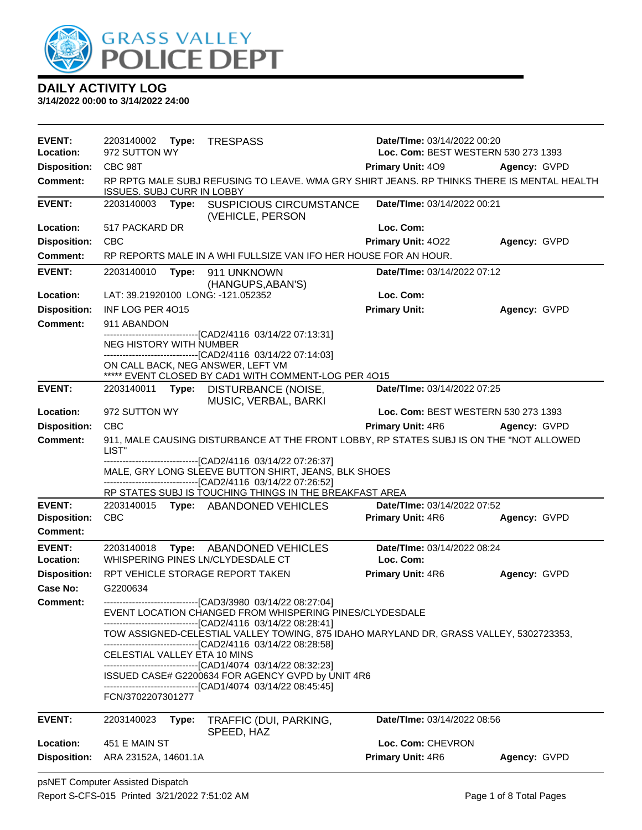

| <b>EVENT:</b>                        | 2203140002<br>Type:                | <b>TRESPASS</b>                                                                                                                                                                         | Date/TIme: 03/14/2022 00:20                             |              |
|--------------------------------------|------------------------------------|-----------------------------------------------------------------------------------------------------------------------------------------------------------------------------------------|---------------------------------------------------------|--------------|
| Location:                            | 972 SUTTON WY                      | Loc. Com: BEST WESTERN 530 273 1393                                                                                                                                                     |                                                         |              |
| <b>Disposition:</b>                  | CBC 98T                            |                                                                                                                                                                                         | Primary Unit: 409                                       | Agency: GVPD |
| Comment:                             | <b>ISSUES. SUBJ CURR IN LOBBY</b>  | RP RPTG MALE SUBJ REFUSING TO LEAVE. WMA GRY SHIRT JEANS. RP THINKS THERE IS MENTAL HEALTH                                                                                              |                                                         |              |
| <b>EVENT:</b>                        | 2203140003<br>Type:                | <b>SUSPICIOUS CIRCUMSTANCE</b><br>(VEHICLE, PERSON                                                                                                                                      | Date/TIme: 03/14/2022 00:21                             |              |
| Location:                            | 517 PACKARD DR                     |                                                                                                                                                                                         | Loc. Com:                                               |              |
| <b>Disposition:</b>                  | CBC                                |                                                                                                                                                                                         | Primary Unit: 4022                                      | Agency: GVPD |
| <b>Comment:</b>                      |                                    | RP REPORTS MALE IN A WHI FULLSIZE VAN IFO HER HOUSE FOR AN HOUR.                                                                                                                        |                                                         |              |
| <b>EVENT:</b>                        | 2203140010<br>Type:                | 911 UNKNOWN<br>(HANGUPS, ABAN'S)                                                                                                                                                        | Date/TIme: 03/14/2022 07:12                             |              |
| Location:                            | LAT: 39.21920100 LONG: -121.052352 |                                                                                                                                                                                         | Loc. Com:                                               |              |
| <b>Disposition:</b>                  | INF LOG PER 4015                   |                                                                                                                                                                                         | <b>Primary Unit:</b>                                    | Agency: GVPD |
| <b>Comment:</b>                      | 911 ABANDON                        | -------------------[CAD2/4116 03/14/22 07:13:31]                                                                                                                                        |                                                         |              |
|                                      | <b>NEG HISTORY WITH NUMBER</b>     |                                                                                                                                                                                         |                                                         |              |
|                                      |                                    | --------------------------------[CAD2/4116 03/14/22 07:14:03]                                                                                                                           |                                                         |              |
|                                      | ON CALL BACK, NEG ANSWER, LEFT VM  | ***** EVENT CLOSED BY CAD1 WITH COMMENT-LOG PER 4015                                                                                                                                    |                                                         |              |
| <b>EVENT:</b>                        | 2203140011<br>Type:                | DISTURBANCE (NOISE,<br>MUSIC, VERBAL, BARKI                                                                                                                                             | Date/TIme: 03/14/2022 07:25                             |              |
| Location:                            | 972 SUTTON WY                      |                                                                                                                                                                                         | Loc. Com: BEST WESTERN 530 273 1393                     |              |
| <b>Disposition:</b>                  | <b>CBC</b>                         |                                                                                                                                                                                         | Primary Unit: 4R6                                       | Agency: GVPD |
| <b>Comment:</b>                      | LIST"                              | 911, MALE CAUSING DISTURBANCE AT THE FRONT LOBBY, RP STATES SUBJ IS ON THE "NOT ALLOWED                                                                                                 |                                                         |              |
|                                      |                                    | -------------------------------[CAD2/4116 03/14/22 07:26:37]<br>MALE, GRY LONG SLEEVE BUTTON SHIRT, JEANS, BLK SHOES<br>-------------------------------[CAD2/4116 03/14/22 07:26:52]    |                                                         |              |
|                                      |                                    | RP STATES SUBJ IS TOUCHING THINGS IN THE BREAKFAST AREA                                                                                                                                 |                                                         |              |
| <b>EVENT:</b><br><b>Disposition:</b> | 2203140015<br><b>CBC</b>           | Type: ABANDONED VEHICLES                                                                                                                                                                | Date/TIme: 03/14/2022 07:52<br><b>Primary Unit: 4R6</b> | Agency: GVPD |
| Comment:                             |                                    |                                                                                                                                                                                         |                                                         |              |
| <b>EVENT:</b>                        | 2203140018<br>Type:                | ABANDONED VEHICLES                                                                                                                                                                      | Date/TIme: 03/14/2022 08:24                             |              |
| Location:                            | WHISPERING PINES LN/CLYDESDALE CT  |                                                                                                                                                                                         | Loc. Com:                                               |              |
| <b>Disposition:</b>                  | RPT VEHICLE STORAGE REPORT TAKEN   |                                                                                                                                                                                         | Primary Unit: 4R6                                       | Agency: GVPD |
| Case No:                             | G2200634                           |                                                                                                                                                                                         |                                                         |              |
| <b>Comment:</b>                      |                                    | -------------------------------[CAD3/3980 03/14/22 08:27:04]<br>EVENT LOCATION CHANGED FROM WHISPERING PINES/CLYDESDALE<br>-------------------------------[CAD2/4116 03/14/22 08:28:41] |                                                         |              |
|                                      |                                    | TOW ASSIGNED-CELESTIAL VALLEY TOWING, 875 IDAHO MARYLAND DR, GRASS VALLEY, 5302723353,<br>---------------------------------[CAD2/4116 03/14/22 08:28:58]                                |                                                         |              |
|                                      | CELESTIAL VALLEY ETA 10 MINS       |                                                                                                                                                                                         |                                                         |              |
|                                      |                                    | ------------------------------[CAD1/4074 03/14/22 08:32:23]<br>ISSUED CASE# G2200634 FOR AGENCY GVPD by UNIT 4R6<br>------------------------------[CAD1/4074 03/14/22 08:45:45]         |                                                         |              |
|                                      | FCN/3702207301277                  |                                                                                                                                                                                         |                                                         |              |
| <b>EVENT:</b>                        | 2203140023<br>Type:                | TRAFFIC (DUI, PARKING,<br>SPEED, HAZ                                                                                                                                                    | Date/TIme: 03/14/2022 08:56                             |              |
| Location:                            | 451 E MAIN ST                      |                                                                                                                                                                                         | Loc. Com: CHEVRON                                       |              |
| <b>Disposition:</b>                  | ARA 23152A, 14601.1A               |                                                                                                                                                                                         | Primary Unit: 4R6                                       | Agency: GVPD |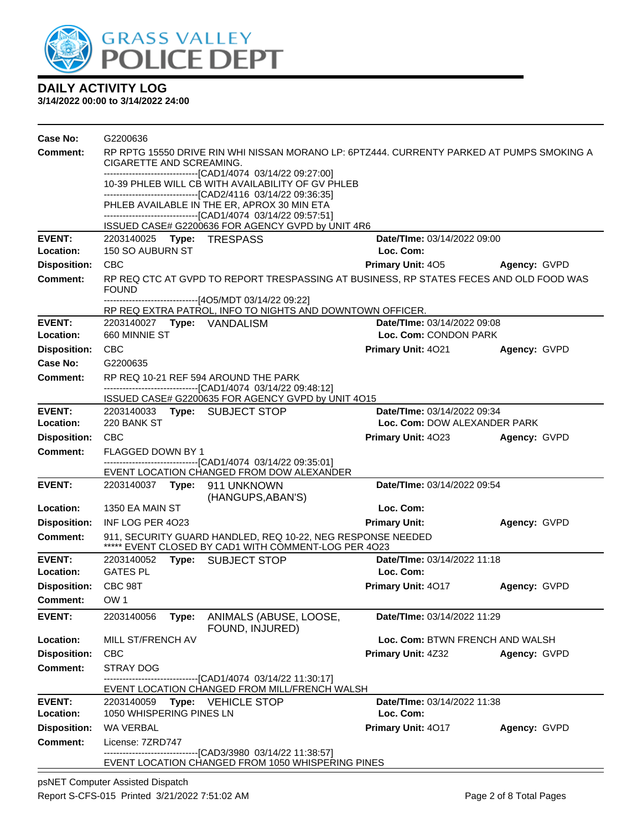

**3/14/2022 00:00 to 3/14/2022 24:00**

| Case No:                   | G2200636                                                                                                                                                                           |                                                                                                                     |                                          |              |  |  |
|----------------------------|------------------------------------------------------------------------------------------------------------------------------------------------------------------------------------|---------------------------------------------------------------------------------------------------------------------|------------------------------------------|--------------|--|--|
| Comment:                   | RP RPTG 15550 DRIVE RIN WHI NISSAN MORANO LP: 6PTZ444. CURRENTY PARKED AT PUMPS SMOKING A<br>CIGARETTE AND SCREAMING.                                                              |                                                                                                                     |                                          |              |  |  |
|                            | -------------------------------[CAD1/4074 03/14/22 09:27:00]<br>10-39 PHLEB WILL CB WITH AVAILABILITY OF GV PHLEB<br>--------------------------------[CAD2/4116 03/14/22 09:36:35] |                                                                                                                     |                                          |              |  |  |
|                            |                                                                                                                                                                                    | PHLEB AVAILABLE IN THE ER, APROX 30 MIN ETA                                                                         |                                          |              |  |  |
|                            |                                                                                                                                                                                    | ------------------------------[CAD1/4074 03/14/22 09:57:51]                                                         |                                          |              |  |  |
|                            |                                                                                                                                                                                    | ISSUED CASE# G2200636 FOR AGENCY GVPD by UNIT 4R6                                                                   |                                          |              |  |  |
| <b>EVENT:</b><br>Location: | 2203140025    Type: TRESPASS<br>150 SO AUBURN ST                                                                                                                                   |                                                                                                                     | Date/TIme: 03/14/2022 09:00<br>Loc. Com: |              |  |  |
| <b>Disposition:</b>        | <b>CBC</b>                                                                                                                                                                         |                                                                                                                     | <b>Primary Unit: 405</b>                 | Agency: GVPD |  |  |
| <b>Comment:</b>            | RP REQ CTC AT GVPD TO REPORT TRESPASSING AT BUSINESS, RP STATES FECES AND OLD FOOD WAS<br><b>FOUND</b>                                                                             |                                                                                                                     |                                          |              |  |  |
|                            |                                                                                                                                                                                    | --------------------------[4O5/MDT 03/14/22 09:22]<br>RP REQ EXTRA PATROL, INFO TO NIGHTS AND DOWNTOWN OFFICER.     |                                          |              |  |  |
| <b>EVENT:</b>              |                                                                                                                                                                                    |                                                                                                                     | <b>Date/TIme: 03/14/2022 09:08</b>       |              |  |  |
| Location:                  | 660 MINNIE ST                                                                                                                                                                      |                                                                                                                     | Loc. Com: CONDON PARK                    |              |  |  |
| <b>Disposition:</b>        | <b>CBC</b>                                                                                                                                                                         |                                                                                                                     | <b>Primary Unit: 4021</b>                | Agency: GVPD |  |  |
| Case No:                   | G2200635                                                                                                                                                                           |                                                                                                                     |                                          |              |  |  |
| <b>Comment:</b>            |                                                                                                                                                                                    | RP REQ 10-21 REF 594 AROUND THE PARK                                                                                |                                          |              |  |  |
|                            |                                                                                                                                                                                    | -------------------------------[CAD1/4074 03/14/22 09:48:12]<br>ISSUED CASE# G2200635 FOR AGENCY GVPD by UNIT 4O15  |                                          |              |  |  |
| <b>EVENT:</b>              | 2203140033 Type: SUBJECT STOP                                                                                                                                                      |                                                                                                                     | Date/TIme: 03/14/2022 09:34              |              |  |  |
| Location:                  | 220 BANK ST                                                                                                                                                                        |                                                                                                                     | Loc. Com: DOW ALEXANDER PARK             |              |  |  |
| <b>Disposition:</b>        | <b>CBC</b>                                                                                                                                                                         |                                                                                                                     | Primary Unit: 4023                       | Agency: GVPD |  |  |
| <b>Comment:</b>            | FLAGGED DOWN BY 1                                                                                                                                                                  |                                                                                                                     |                                          |              |  |  |
|                            |                                                                                                                                                                                    | -------------------------------[CAD1/4074 03/14/22 09:35:01]<br>EVENT LOCATION CHANGED FROM DOW ALEXANDER           |                                          |              |  |  |
| <b>EVENT:</b>              | 2203140037    Type: 911    UNKNOWN                                                                                                                                                 | (HANGUPS, ABAN'S)                                                                                                   | Date/TIme: 03/14/2022 09:54              |              |  |  |
| Location:                  | 1350 EA MAIN ST                                                                                                                                                                    |                                                                                                                     | Loc. Com:                                |              |  |  |
| <b>Disposition:</b>        | INF LOG PER 4023                                                                                                                                                                   |                                                                                                                     | <b>Primary Unit:</b>                     | Agency: GVPD |  |  |
| <b>Comment:</b>            |                                                                                                                                                                                    | 911, SECURITY GUARD HANDLED, REQ 10-22, NEG RESPONSE NEEDED<br>***** EVENT CLOSED BY CAD1 WITH COMMENT-LOG PER 4023 |                                          |              |  |  |
| <b>EVENT:</b>              | 2203140052 Type: SUBJECT STOP                                                                                                                                                      |                                                                                                                     | Date/TIme: 03/14/2022 11:18              |              |  |  |
| Location:                  | <b>GATES PL</b>                                                                                                                                                                    |                                                                                                                     | Loc. Com:                                |              |  |  |
| <b>Disposition:</b>        | CBC 98T                                                                                                                                                                            |                                                                                                                     | <b>Primary Unit: 4017</b>                | Agency: GVPD |  |  |
| <b>Comment:</b>            | OW <sub>1</sub>                                                                                                                                                                    |                                                                                                                     |                                          |              |  |  |
| <b>EVENT:</b>              | 2203140056<br>Type:                                                                                                                                                                | ANIMALS (ABUSE, LOOSE,<br>FOUND, INJURED)                                                                           | Date/TIme: 03/14/2022 11:29              |              |  |  |
| Location:                  | MILL ST/FRENCH AV                                                                                                                                                                  |                                                                                                                     | Loc. Com: BTWN FRENCH AND WALSH          |              |  |  |
| <b>Disposition:</b>        | <b>CBC</b>                                                                                                                                                                         |                                                                                                                     | <b>Primary Unit: 4Z32</b>                | Agency: GVPD |  |  |
| <b>Comment:</b>            | STRAY DOG                                                                                                                                                                          |                                                                                                                     |                                          |              |  |  |
|                            |                                                                                                                                                                                    | -------------------------[CAD1/4074_03/14/22_11:30:17]<br>EVENT LOCATION CHANGED FROM MILL/FRENCH WALSH             |                                          |              |  |  |
| <b>EVENT:</b>              | 2203140059                                                                                                                                                                         | Type: VEHICLE STOP                                                                                                  | Date/TIme: 03/14/2022 11:38              |              |  |  |
| Location:                  | 1050 WHISPERING PINES LN                                                                                                                                                           |                                                                                                                     | Loc. Com:                                |              |  |  |
| <b>Disposition:</b>        | WA VERBAL                                                                                                                                                                          |                                                                                                                     | Primary Unit: 4017                       | Agency: GVPD |  |  |
| <b>Comment:</b>            | License: 7ZRD747                                                                                                                                                                   |                                                                                                                     |                                          |              |  |  |
|                            |                                                                                                                                                                                    | ---------------------------[CAD3/3980_03/14/22 11:38:57]<br>EVENT LOCATION CHANGED FROM 1050 WHISPERING PINES       |                                          |              |  |  |
|                            |                                                                                                                                                                                    |                                                                                                                     |                                          |              |  |  |

psNET Computer Assisted Dispatch Report S-CFS-015 Printed 3/21/2022 7:51:02 AM Page 2 of 8 Total Pages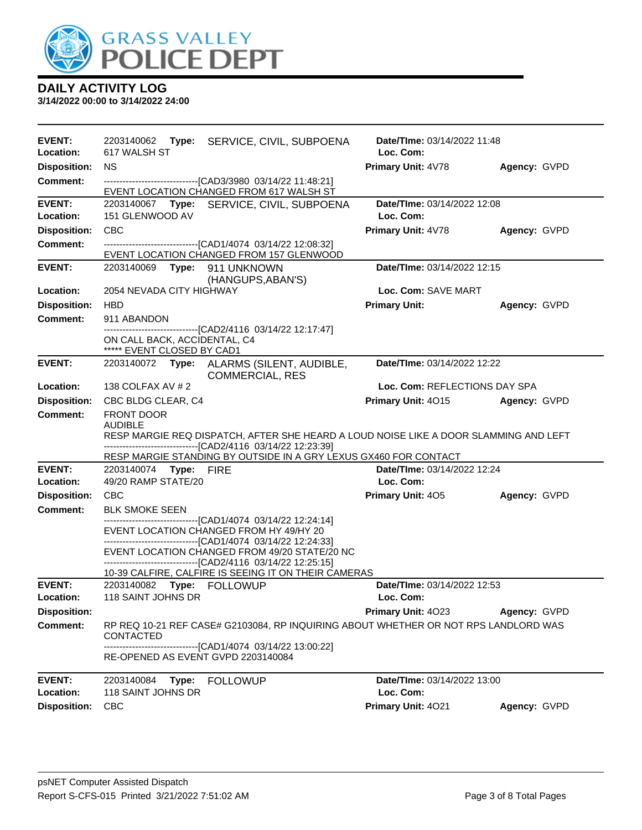

| <b>EVENT:</b><br>Location: | 617 WALSH ST                                                                                           | 2203140062 Type: SERVICE, CIVIL, SUBPOENA                                                                            | Date/TIme: 03/14/2022 11:48<br>Loc. Com: |              |  |
|----------------------------|--------------------------------------------------------------------------------------------------------|----------------------------------------------------------------------------------------------------------------------|------------------------------------------|--------------|--|
| <b>Disposition:</b>        | <b>NS</b>                                                                                              |                                                                                                                      | Primary Unit: 4V78                       | Agency: GVPD |  |
| <b>Comment:</b>            |                                                                                                        | -------------------------------[CAD3/3980 03/14/22 11:48:21]                                                         |                                          |              |  |
|                            |                                                                                                        | EVENT LOCATION CHANGED FROM 617 WALSH ST                                                                             |                                          |              |  |
| <b>EVENT:</b>              |                                                                                                        | 2203140067 Type: SERVICE, CIVIL, SUBPOENA                                                                            | Date/TIme: 03/14/2022 12:08              |              |  |
| Location:                  | 151 GLENWOOD AV                                                                                        |                                                                                                                      | Loc. Com:                                |              |  |
| <b>Disposition:</b>        | CBC                                                                                                    |                                                                                                                      | Primary Unit: 4V78                       | Agency: GVPD |  |
| <b>Comment:</b>            |                                                                                                        | -------------------------------[CAD1/4074 03/14/22 12:08:32]<br>EVENT LOCATION CHANGED FROM 157 GLENWOOD             |                                          |              |  |
| <b>EVENT:</b>              | 2203140069 Type: 911 UNKNOWN                                                                           | (HANGUPS, ABAN'S)                                                                                                    | Date/TIme: 03/14/2022 12:15              |              |  |
| Location:                  | 2054 NEVADA CITY HIGHWAY                                                                               |                                                                                                                      | Loc. Com: SAVE MART                      |              |  |
| <b>Disposition:</b>        | <b>HBD</b>                                                                                             |                                                                                                                      | <b>Primary Unit:</b>                     | Agency: GVPD |  |
| <b>Comment:</b>            | 911 ABANDON                                                                                            |                                                                                                                      |                                          |              |  |
|                            | ON CALL BACK, ACCIDENTAL, C4                                                                           | -------------------------------[CAD2/4116 03/14/22 12:17:47]                                                         |                                          |              |  |
|                            | ***** EVENT CLOSED BY CAD1                                                                             |                                                                                                                      |                                          |              |  |
| <b>EVENT:</b>              |                                                                                                        | 2203140072 Type: ALARMS (SILENT, AUDIBLE,<br><b>COMMERCIAL, RES</b>                                                  | Date/TIme: 03/14/2022 12:22              |              |  |
| Location:                  | 138 COLFAX AV # 2                                                                                      |                                                                                                                      | Loc. Com: REFLECTIONS DAY SPA            |              |  |
| <b>Disposition:</b>        | CBC BLDG CLEAR, C4                                                                                     |                                                                                                                      | Primary Unit: 4015                       | Agency: GVPD |  |
| Comment:                   | <b>FRONT DOOR</b>                                                                                      |                                                                                                                      |                                          |              |  |
|                            | <b>AUDIBLE</b><br>RESP MARGIE REQ DISPATCH, AFTER SHE HEARD A LOUD NOISE LIKE A DOOR SLAMMING AND LEFT |                                                                                                                      |                                          |              |  |
|                            |                                                                                                        |                                                                                                                      |                                          |              |  |
|                            |                                                                                                        | -------------------------------[CAD2/4116 03/14/22 12:23:39]                                                         |                                          |              |  |
|                            |                                                                                                        | RESP MARGIE STANDING BY OUTSIDE IN A GRY LEXUS GX460 FOR CONTACT                                                     |                                          |              |  |
| <b>EVENT:</b>              | 2203140074 Type: FIRE                                                                                  |                                                                                                                      | Date/TIme: 03/14/2022 12:24              |              |  |
| Location:                  | 49/20 RAMP STATE/20                                                                                    |                                                                                                                      | Loc. Com:                                |              |  |
| <b>Disposition:</b>        | <b>CBC</b>                                                                                             |                                                                                                                      | <b>Primary Unit: 405</b>                 | Agency: GVPD |  |
| <b>Comment:</b>            | <b>BLK SMOKE SEEN</b>                                                                                  |                                                                                                                      |                                          |              |  |
|                            |                                                                                                        | ------------------------------[CAD1/4074_03/14/22 12:24:14]<br>EVENT LOCATION CHANGED FROM HY 49/HY 20               |                                          |              |  |
|                            |                                                                                                        | ------------------------------[CAD1/4074_03/14/22 12:24:33]                                                          |                                          |              |  |
|                            |                                                                                                        | EVENT LOCATION CHANGED FROM 49/20 STATE/20 NC                                                                        |                                          |              |  |
|                            |                                                                                                        | -------------------------------[CAD2/4116 03/14/22 12:25:15]<br>10-39 CALFIRE, CALFIRE IS SEEING IT ON THEIR CAMERAS |                                          |              |  |
| <b>EVENT:</b>              | 2203140082 Type: FOLLOWUP                                                                              |                                                                                                                      | Date/TIme: 03/14/2022 12:53              |              |  |
| Location:                  | 118 SAINT JOHNS DR                                                                                     |                                                                                                                      | Loc. Com:                                |              |  |
| <b>Disposition:</b>        |                                                                                                        |                                                                                                                      | <b>Primary Unit: 4023</b>                | Agency: GVPD |  |
| Comment:                   | CONTACTED                                                                                              | RP REQ 10-21 REF CASE# G2103084, RP INQUIRING ABOUT WHETHER OR NOT RPS LANDLORD WAS                                  |                                          |              |  |
|                            | RE-OPENED AS EVENT GVPD 2203140084                                                                     | -------------------------------[CAD1/4074_03/14/22 13:00:22]                                                         |                                          |              |  |
| <b>EVENT:</b>              | 2203140084<br>Type:                                                                                    | <b>FOLLOWUP</b>                                                                                                      | Date/TIme: 03/14/2022 13:00              |              |  |
| Location:                  | 118 SAINT JOHNS DR                                                                                     |                                                                                                                      | Loc. Com:                                |              |  |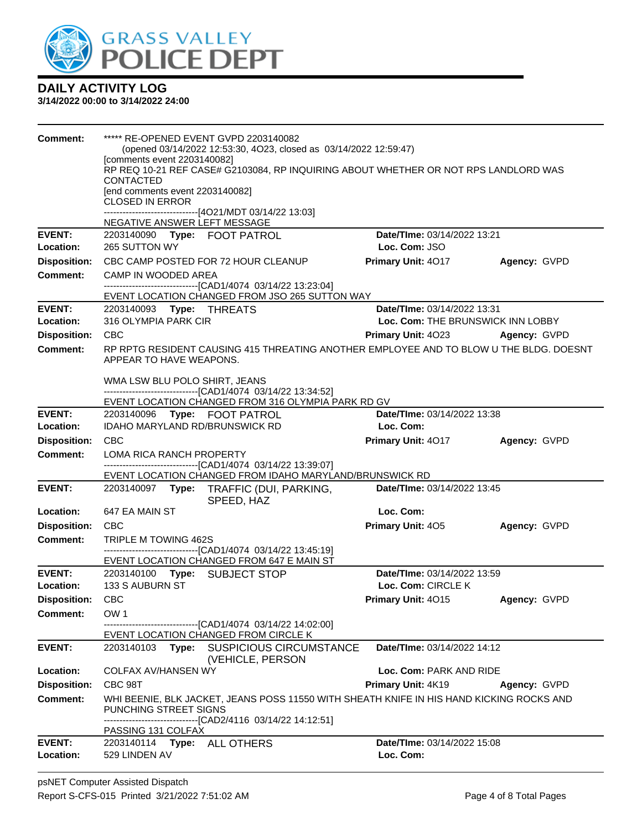

| Comment:                   | ***** RE-OPENED EVENT GVPD 2203140082<br>(opened 03/14/2022 12:53:30, 4O23, closed as 03/14/2022 12:59:47)<br>[comments event 2203140082]<br>RP REQ 10-21 REF CASE# G2103084, RP INQUIRING ABOUT WHETHER OR NOT RPS LANDLORD WAS<br><b>CONTACTED</b><br>[end comments event 2203140082]<br><b>CLOSED IN ERROR</b><br>------------------------------[4O21/MDT 03/14/22 13:03]<br>NEGATIVE ANSWER LEFT MESSAGE |                                                   |                     |  |
|----------------------------|--------------------------------------------------------------------------------------------------------------------------------------------------------------------------------------------------------------------------------------------------------------------------------------------------------------------------------------------------------------------------------------------------------------|---------------------------------------------------|---------------------|--|
| <b>EVENT:</b><br>Location: | 2203140090 Type: FOOT PATROL<br>265 SUTTON WY                                                                                                                                                                                                                                                                                                                                                                | Date/TIme: 03/14/2022 13:21<br>Loc. Com: JSO      |                     |  |
| <b>Disposition:</b>        | CBC CAMP POSTED FOR 72 HOUR CLEANUP                                                                                                                                                                                                                                                                                                                                                                          | Primary Unit: 4017                                | <b>Agency: GVPD</b> |  |
| <b>Comment:</b>            | CAMP IN WOODED AREA                                                                                                                                                                                                                                                                                                                                                                                          |                                                   |                     |  |
|                            | ------------------------------[CAD1/4074 03/14/22 13:23:04]<br>EVENT LOCATION CHANGED FROM JSO 265 SUTTON WAY                                                                                                                                                                                                                                                                                                |                                                   |                     |  |
| <b>EVENT:</b>              | 2203140093 Type: THREATS                                                                                                                                                                                                                                                                                                                                                                                     | Date/TIme: 03/14/2022 13:31                       |                     |  |
| Location:                  | 316 OLYMPIA PARK CIR                                                                                                                                                                                                                                                                                                                                                                                         | Loc. Com: THE BRUNSWICK INN LOBBY                 |                     |  |
| <b>Disposition:</b>        | <b>CBC</b>                                                                                                                                                                                                                                                                                                                                                                                                   | <b>Primary Unit: 4023</b>                         | Agency: GVPD        |  |
| Comment:                   | RP RPTG RESIDENT CAUSING 415 THREATING ANOTHER EMPLOYEE AND TO BLOW U THE BLDG. DOESNT<br>APPEAR TO HAVE WEAPONS.                                                                                                                                                                                                                                                                                            |                                                   |                     |  |
|                            | WMA LSW BLU POLO SHIRT, JEANS<br>-------------------------------[CAD1/4074 03/14/22 13:34:52]<br>EVENT LOCATION CHANGED FROM 316 OLYMPIA PARK RD GV                                                                                                                                                                                                                                                          |                                                   |                     |  |
| <b>EVENT:</b>              | 2203140096 Type: FOOT PATROL                                                                                                                                                                                                                                                                                                                                                                                 | Date/TIme: 03/14/2022 13:38                       |                     |  |
| Location:                  | <b>IDAHO MARYLAND RD/BRUNSWICK RD</b>                                                                                                                                                                                                                                                                                                                                                                        | Loc. Com:                                         |                     |  |
| <b>Disposition:</b>        | <b>CBC</b>                                                                                                                                                                                                                                                                                                                                                                                                   | <b>Primary Unit: 4017</b>                         | Agency: GVPD        |  |
| <b>Comment:</b>            | LOMA RICA RANCH PROPERTY<br>-------------------------------[CAD1/4074_03/14/22 13:39:07]                                                                                                                                                                                                                                                                                                                     |                                                   |                     |  |
|                            | EVENT LOCATION CHANGED FROM IDAHO MARYLAND/BRUNSWICK RD                                                                                                                                                                                                                                                                                                                                                      |                                                   |                     |  |
| <b>EVENT:</b>              | 2203140097 Type: TRAFFIC (DUI, PARKING,<br>SPEED, HAZ                                                                                                                                                                                                                                                                                                                                                        | Date/TIme: 03/14/2022 13:45                       |                     |  |
| Location:                  | 647 EA MAIN ST                                                                                                                                                                                                                                                                                                                                                                                               | Loc. Com:                                         |                     |  |
| <b>Disposition:</b>        | <b>CBC</b>                                                                                                                                                                                                                                                                                                                                                                                                   | Primary Unit: 405                                 | Agency: GVPD        |  |
| <b>Comment:</b>            | TRIPLE M TOWING 462S<br>------------------------------[CAD1/4074 03/14/22 13:45:19]                                                                                                                                                                                                                                                                                                                          |                                                   |                     |  |
|                            | EVENT LOCATION CHANGED FROM 647 E MAIN ST                                                                                                                                                                                                                                                                                                                                                                    |                                                   |                     |  |
| <b>EVENT:</b><br>Location: | 2203140100 Type: SUBJECT STOP<br>133 S AUBURN ST                                                                                                                                                                                                                                                                                                                                                             | Date/TIme: 03/14/2022 13:59<br>Loc. Com: CIRCLE K |                     |  |
| Disposition: CBC           |                                                                                                                                                                                                                                                                                                                                                                                                              | Primary Unit: 4015                                | Agency: GVPD        |  |
| <b>Comment:</b>            | OW <sub>1</sub>                                                                                                                                                                                                                                                                                                                                                                                              |                                                   |                     |  |
|                            | -------------------[CAD1/4074_03/14/22 14:02:00]<br>EVENT LOCATION CHANGED FROM CIRCLE K                                                                                                                                                                                                                                                                                                                     |                                                   |                     |  |
| <b>EVENT:</b>              | 2203140103<br>Type: SUSPICIOUS CIRCUMSTANCE<br>(VEHICLE, PERSON                                                                                                                                                                                                                                                                                                                                              | Date/TIme: 03/14/2022 14:12                       |                     |  |
| Location:                  | <b>COLFAX AV/HANSEN WY</b>                                                                                                                                                                                                                                                                                                                                                                                   | Loc. Com: PARK AND RIDE                           |                     |  |
| <b>Disposition:</b>        | CBC 98T                                                                                                                                                                                                                                                                                                                                                                                                      | Primary Unit: 4K19                                | Agency: GVPD        |  |
| <b>Comment:</b>            | WHI BEENIE, BLK JACKET, JEANS POSS 11550 WITH SHEATH KNIFE IN HIS HAND KICKING ROCKS AND<br>PUNCHING STREET SIGNS<br>-------------------------------[CAD2/4116 03/14/22 14:12:51]                                                                                                                                                                                                                            |                                                   |                     |  |
| <b>EVENT:</b>              | PASSING 131 COLFAX<br>2203140114 Type: ALL OTHERS                                                                                                                                                                                                                                                                                                                                                            | Date/TIme: 03/14/2022 15:08                       |                     |  |
| Location:                  | 529 LINDEN AV                                                                                                                                                                                                                                                                                                                                                                                                | Loc. Com:                                         |                     |  |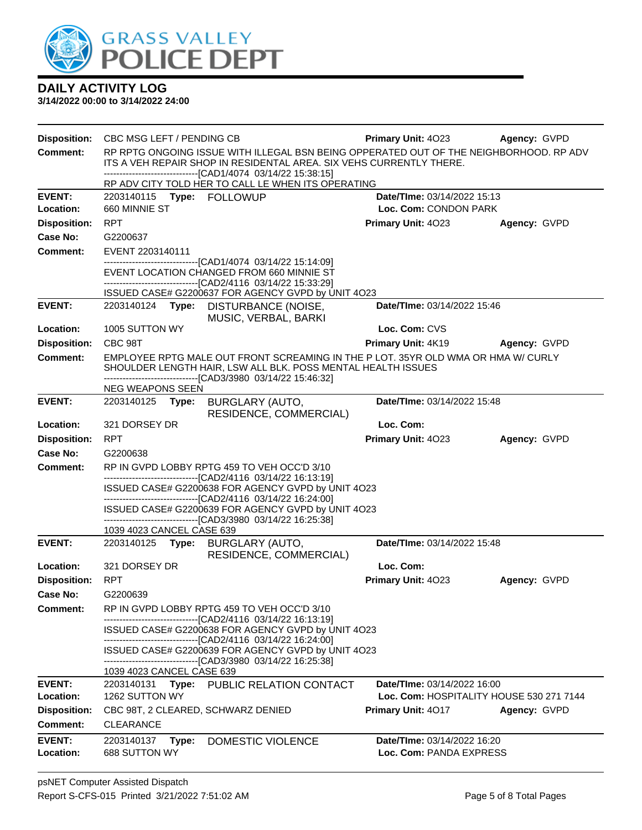

| <b>Disposition:</b>        | CBC MSG LEFT / PENDING CB                                                                                                                                                                                         | <b>Primary Unit: 4023</b>                                                      | Agency: GVPD |  |  |
|----------------------------|-------------------------------------------------------------------------------------------------------------------------------------------------------------------------------------------------------------------|--------------------------------------------------------------------------------|--------------|--|--|
| <b>Comment:</b>            | RP RPTG ONGOING ISSUE WITH ILLEGAL BSN BEING OPPERATED OUT OF THE NEIGHBORHOOD. RP ADV<br>ITS A VEH REPAIR SHOP IN RESIDENTAL AREA. SIX VEHS CURRENTLY THERE.                                                     |                                                                                |              |  |  |
|                            | -------------------------------[CAD1/4074_03/14/22 15:38:15]<br>RP ADV CITY TOLD HER TO CALL LE WHEN ITS OPERATING                                                                                                |                                                                                |              |  |  |
| <b>EVENT:</b>              |                                                                                                                                                                                                                   | Date/TIme: 03/14/2022 15:13                                                    |              |  |  |
| Location:                  | 660 MINNIE ST                                                                                                                                                                                                     | Loc. Com: CONDON PARK                                                          |              |  |  |
| <b>Disposition:</b>        | <b>RPT</b>                                                                                                                                                                                                        | <b>Primary Unit: 4023</b>                                                      | Agency: GVPD |  |  |
| <b>Case No:</b>            | G2200637                                                                                                                                                                                                          |                                                                                |              |  |  |
| <b>Comment:</b>            | EVENT 2203140111                                                                                                                                                                                                  |                                                                                |              |  |  |
|                            | -----------------------[CAD1/4074_03/14/22_15:14:09]<br>EVENT LOCATION CHANGED FROM 660 MINNIE ST<br>-------------------------------[CAD2/4116 03/14/22 15:33:29]                                                 |                                                                                |              |  |  |
|                            | ISSUED CASE# G2200637 FOR AGENCY GVPD by UNIT 4O23                                                                                                                                                                |                                                                                |              |  |  |
| <b>EVENT:</b>              | 2203140124 Type: DISTURBANCE (NOISE,<br>MUSIC, VERBAL, BARKI                                                                                                                                                      | Date/TIme: 03/14/2022 15:46                                                    |              |  |  |
| Location:                  | 1005 SUTTON WY                                                                                                                                                                                                    | Loc. Com: CVS                                                                  |              |  |  |
| <b>Disposition:</b>        | CBC 98T                                                                                                                                                                                                           | Primary Unit: 4K19                                                             | Agency: GVPD |  |  |
| Comment:                   | EMPLOYEE RPTG MALE OUT FRONT SCREAMING IN THE P LOT. 35YR OLD WMA OR HMA W/ CURLY<br>SHOULDER LENGTH HAIR, LSW ALL BLK. POSS MENTAL HEALTH ISSUES<br>-------------------------------[CAD3/3980_03/14/22 15:46:32] |                                                                                |              |  |  |
|                            | NEG WEAPONS SEEN                                                                                                                                                                                                  |                                                                                |              |  |  |
| <b>EVENT:</b>              | 2203140125 Type:<br><b>BURGLARY (AUTO,</b><br>RESIDENCE, COMMERCIAL)                                                                                                                                              | Date/TIme: 03/14/2022 15:48                                                    |              |  |  |
| Location:                  | 321 DORSEY DR                                                                                                                                                                                                     | Loc. Com:                                                                      |              |  |  |
| <b>Disposition:</b>        | <b>RPT</b>                                                                                                                                                                                                        | Primary Unit: 4023                                                             | Agency: GVPD |  |  |
| Case No:                   | G2200638                                                                                                                                                                                                          |                                                                                |              |  |  |
| <b>Comment:</b>            | RP IN GVPD LOBBY RPTG 459 TO VEH OCC'D 3/10                                                                                                                                                                       |                                                                                |              |  |  |
|                            | -------------------------------[CAD2/4116 03/14/22 16:13:19]<br>ISSUED CASE# G2200638 FOR AGENCY GVPD by UNIT 4O23                                                                                                |                                                                                |              |  |  |
|                            | -------------------------------[CAD2/4116 03/14/22 16:24:00]                                                                                                                                                      |                                                                                |              |  |  |
|                            | ISSUED CASE# G2200639 FOR AGENCY GVPD by UNIT 4O23<br>-------------------------------[CAD3/3980 03/14/22 16:25:38]                                                                                                |                                                                                |              |  |  |
|                            | 1039 4023 CANCEL CASE 639                                                                                                                                                                                         |                                                                                |              |  |  |
| <b>EVENT:</b>              | 2203140125<br>Type: BURGLARY (AUTO,                                                                                                                                                                               | Date/TIme: 03/14/2022 15:48                                                    |              |  |  |
| Location:                  | RESIDENCE, COMMERCIAL)<br>321 DORSEY DR                                                                                                                                                                           | Loc. Com:                                                                      |              |  |  |
| <b>Disposition:</b>        | <b>RPT</b>                                                                                                                                                                                                        | Primary Unit: 4023                                                             | Agency: GVPD |  |  |
| Case No:                   | G2200639                                                                                                                                                                                                          |                                                                                |              |  |  |
| <b>Comment:</b>            | RP IN GVPD LOBBY RPTG 459 TO VEH OCC'D 3/10<br>-------------------------------[CAD2/4116 03/14/22 16:13:19]                                                                                                       |                                                                                |              |  |  |
|                            | ISSUED CASE# G2200638 FOR AGENCY GVPD by UNIT 4023<br>-------------------------------[CAD2/4116 03/14/22 16:24:00]                                                                                                |                                                                                |              |  |  |
|                            | ISSUED CASE# G2200639 FOR AGENCY GVPD by UNIT 4O23<br>-------------------------------[CAD3/3980 03/14/22 16:25:38]                                                                                                |                                                                                |              |  |  |
|                            | 1039 4023 CANCEL CASE 639                                                                                                                                                                                         |                                                                                |              |  |  |
| <b>EVENT:</b><br>Location: | Type: PUBLIC RELATION CONTACT<br>2203140131<br>1262 SUTTON WY                                                                                                                                                     | <b>Date/Time: 03/14/2022 16:00</b><br>Loc. Com: HOSPITALITY HOUSE 530 271 7144 |              |  |  |
| <b>Disposition:</b>        | CBC 98T, 2 CLEARED, SCHWARZ DENIED                                                                                                                                                                                | <b>Primary Unit: 4017</b>                                                      | Agency: GVPD |  |  |
| <b>Comment:</b>            | <b>CLEARANCE</b>                                                                                                                                                                                                  |                                                                                |              |  |  |
| <b>EVENT:</b>              | 2203140137<br>DOMESTIC VIOLENCE<br>Type:                                                                                                                                                                          | Date/TIme: 03/14/2022 16:20                                                    |              |  |  |
| Location:                  | 688 SUTTON WY                                                                                                                                                                                                     | Loc. Com: PANDA EXPRESS                                                        |              |  |  |
|                            |                                                                                                                                                                                                                   |                                                                                |              |  |  |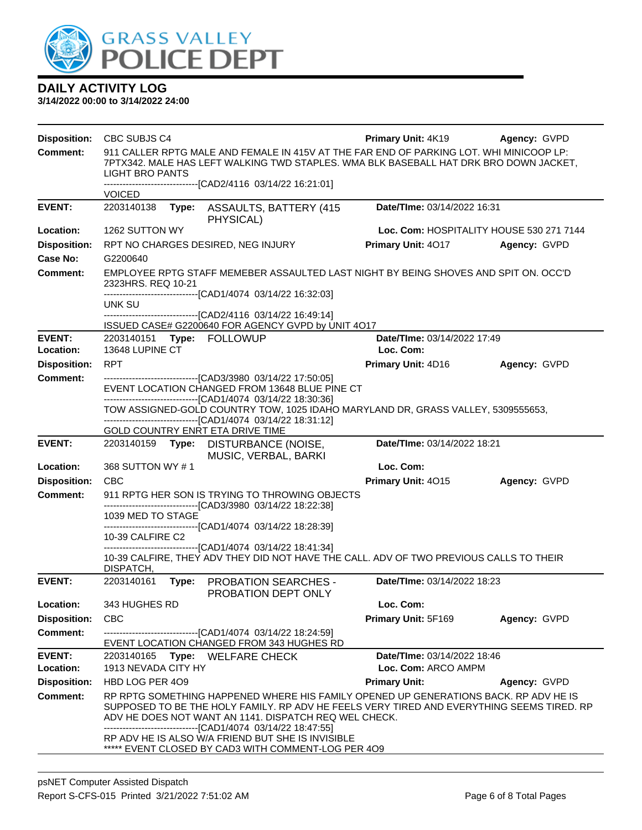

| <b>Disposition:</b>        | CBC SUBJS C4                                                                                                                                                                                                                                                                                                                                                                                                           | <b>Primary Unit: 4K19</b>                | Agency: GVPD |
|----------------------------|------------------------------------------------------------------------------------------------------------------------------------------------------------------------------------------------------------------------------------------------------------------------------------------------------------------------------------------------------------------------------------------------------------------------|------------------------------------------|--------------|
| <b>Comment:</b>            | 911 CALLER RPTG MALE AND FEMALE IN 415V AT THE FAR END OF PARKING LOT. WHI MINICOOP LP:<br>7PTX342. MALE HAS LEFT WALKING TWD STAPLES. WMA BLK BASEBALL HAT DRK BRO DOWN JACKET,<br><b>LIGHT BRO PANTS</b>                                                                                                                                                                                                             |                                          |              |
|                            | -------------------------------[CAD2/4116 03/14/22 16:21:01]<br><b>VOICED</b>                                                                                                                                                                                                                                                                                                                                          |                                          |              |
| <b>EVENT:</b>              | 2203140138<br><b>ASSAULTS, BATTERY (415</b><br>Type:<br>PHYSICAL)                                                                                                                                                                                                                                                                                                                                                      | Date/TIme: 03/14/2022 16:31              |              |
| Location:                  | 1262 SUTTON WY                                                                                                                                                                                                                                                                                                                                                                                                         | Loc. Com: HOSPITALITY HOUSE 530 271 7144 |              |
| <b>Disposition:</b>        | RPT NO CHARGES DESIRED, NEG INJURY                                                                                                                                                                                                                                                                                                                                                                                     | Primary Unit: 4017                       | Agency: GVPD |
| <b>Case No:</b>            | G2200640                                                                                                                                                                                                                                                                                                                                                                                                               |                                          |              |
| <b>Comment:</b>            | EMPLOYEE RPTG STAFF MEMEBER ASSAULTED LAST NIGHT BY BEING SHOVES AND SPIT ON. OCC'D<br>2323HRS. REQ 10-21<br>-------------------------------[CAD1/4074_03/14/22 16:32:03]                                                                                                                                                                                                                                              |                                          |              |
|                            | UNK SU                                                                                                                                                                                                                                                                                                                                                                                                                 |                                          |              |
|                            | -------------------------------[CAD2/4116 03/14/22 16:49:14]<br>ISSUED CASE# G2200640 FOR AGENCY GVPD by UNIT 4O17                                                                                                                                                                                                                                                                                                     |                                          |              |
| <b>EVENT:</b><br>Location: | 2203140151 Type: FOLLOWUP<br>13648 LUPINE CT                                                                                                                                                                                                                                                                                                                                                                           | Date/TIme: 03/14/2022 17:49<br>Loc. Com: |              |
| <b>Disposition:</b>        | <b>RPT</b>                                                                                                                                                                                                                                                                                                                                                                                                             | Primary Unit: 4D16                       | Agency: GVPD |
| <b>Comment:</b>            | -------------------------------[CAD3/3980 03/14/22 17:50:05]                                                                                                                                                                                                                                                                                                                                                           |                                          |              |
|                            | EVENT LOCATION CHANGED FROM 13648 BLUE PINE CT<br>--------------------------------[CAD1/4074_03/14/22_18:30:36]                                                                                                                                                                                                                                                                                                        |                                          |              |
|                            | TOW ASSIGNED-GOLD COUNTRY TOW, 1025 IDAHO MARYLAND DR, GRASS VALLEY, 5309555653,                                                                                                                                                                                                                                                                                                                                       |                                          |              |
|                            | -------------------------------[CAD1/4074 03/14/22 18:31:12]<br>GOLD COUNTRY ENRT ETA DRIVE TIME                                                                                                                                                                                                                                                                                                                       |                                          |              |
| <b>EVENT:</b>              | 2203140159 Type: DISTURBANCE (NOISE,                                                                                                                                                                                                                                                                                                                                                                                   | Date/TIme: 03/14/2022 18:21              |              |
|                            | MUSIC, VERBAL, BARKI                                                                                                                                                                                                                                                                                                                                                                                                   |                                          |              |
| Location:                  | 368 SUTTON WY #1                                                                                                                                                                                                                                                                                                                                                                                                       | Loc. Com:                                |              |
| <b>Disposition:</b>        | <b>CBC</b>                                                                                                                                                                                                                                                                                                                                                                                                             | Primary Unit: 4015                       | Agency: GVPD |
| <b>Comment:</b>            | 911 RPTG HER SON IS TRYING TO THROWING OBJECTS<br>-------------------------------[CAD3/3980 03/14/22 18:22:38]                                                                                                                                                                                                                                                                                                         |                                          |              |
|                            | 1039 MED TO STAGE                                                                                                                                                                                                                                                                                                                                                                                                      |                                          |              |
|                            | -------------------------------[CAD1/4074_03/14/22 18:28:39]<br>10-39 CALFIRE C2                                                                                                                                                                                                                                                                                                                                       |                                          |              |
|                            | ------------------------------[CAD1/4074_03/14/22 18:41:34]<br>10-39 CALFIRE, THEY ADV THEY DID NOT HAVE THE CALL. ADV OF TWO PREVIOUS CALLS TO THEIR                                                                                                                                                                                                                                                                  |                                          |              |
| <b>EVENT:</b>              | DISPATCH,<br>2203140161<br>Type:<br><b>PROBATION SEARCHES -</b>                                                                                                                                                                                                                                                                                                                                                        | Date/TIme: 03/14/2022 18:23              |              |
|                            | PROBATION DEPT ONLY                                                                                                                                                                                                                                                                                                                                                                                                    |                                          |              |
| Location:                  | 343 HUGHES RD                                                                                                                                                                                                                                                                                                                                                                                                          | Loc. Com:                                |              |
| <b>Disposition:</b>        | <b>CBC</b>                                                                                                                                                                                                                                                                                                                                                                                                             | Primary Unit: 5F169                      | Agency: GVPD |
| <b>Comment:</b>            | -------------------------[CAD1/4074_03/14/22 18:24:59]<br>EVENT LOCATION CHANGED FROM 343 HUGHES RD                                                                                                                                                                                                                                                                                                                    |                                          |              |
| <b>EVENT:</b>              | 2203140165 Type: WELFARE CHECK                                                                                                                                                                                                                                                                                                                                                                                         | Date/TIme: 03/14/2022 18:46              |              |
| Location:                  | 1913 NEVADA CITY HY                                                                                                                                                                                                                                                                                                                                                                                                    | Loc. Com: ARCO AMPM                      |              |
| <b>Disposition:</b>        | HBD LOG PER 409                                                                                                                                                                                                                                                                                                                                                                                                        | <b>Primary Unit:</b>                     | Agency: GVPD |
| <b>Comment:</b>            | RP RPTG SOMETHING HAPPENED WHERE HIS FAMILY OPENED UP GENERATIONS BACK. RP ADV HE IS<br>SUPPOSED TO BE THE HOLY FAMILY. RP ADV HE FEELS VERY TIRED AND EVERYTHING SEEMS TIRED. RP<br>ADV HE DOES NOT WANT AN 1141. DISPATCH REQ WEL CHECK.<br>-------------------------------[CAD1/4074 03/14/22 18:47:55]<br>RP ADV HE IS ALSO W/A FRIEND BUT SHE IS INVISIBLE<br>***** EVENT CLOSED BY CAD3 WITH COMMENT-LOG PER 4O9 |                                          |              |
|                            |                                                                                                                                                                                                                                                                                                                                                                                                                        |                                          |              |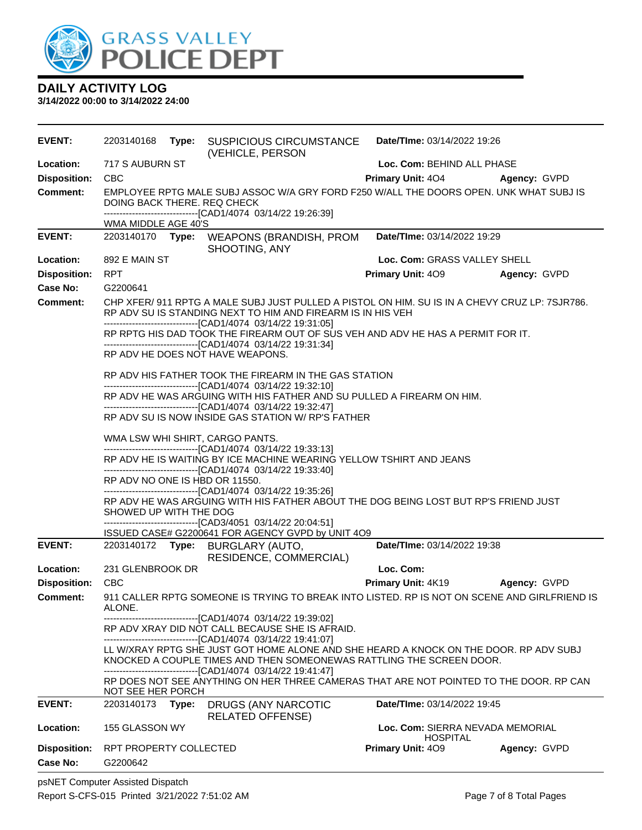

**3/14/2022 00:00 to 3/14/2022 24:00**

| <b>EVENT:</b>       |                                |       | 2203140168 Type: SUSPICIOUS CIRCUMSTANCE<br>(VEHICLE, PERSON                                                                                                                                                                  | Date/TIme: 03/14/2022 19:26                         |                     |
|---------------------|--------------------------------|-------|-------------------------------------------------------------------------------------------------------------------------------------------------------------------------------------------------------------------------------|-----------------------------------------------------|---------------------|
| Location:           | 717 S AUBURN ST                |       |                                                                                                                                                                                                                               | Loc. Com: BEHIND ALL PHASE                          |                     |
| <b>Disposition:</b> | <b>CBC</b>                     |       |                                                                                                                                                                                                                               | <b>Primary Unit: 404</b>                            | <b>Agency: GVPD</b> |
| <b>Comment:</b>     | DOING BACK THERE. REQ CHECK    |       | EMPLOYEE RPTG MALE SUBJ ASSOC W/A GRY FORD F250 W/ALL THE DOORS OPEN. UNK WHAT SUBJ IS                                                                                                                                        |                                                     |                     |
|                     | WMA MIDDLE AGE 40'S            |       | -------------------------------[CAD1/4074_03/14/22 19:26:39]                                                                                                                                                                  |                                                     |                     |
| <b>EVENT:</b>       |                                |       | 2203140170 Type: WEAPONS (BRANDISH, PROM                                                                                                                                                                                      | Date/TIme: 03/14/2022 19:29                         |                     |
|                     |                                |       | SHOOTING, ANY                                                                                                                                                                                                                 |                                                     |                     |
| Location:           | 892 E MAIN ST                  |       |                                                                                                                                                                                                                               | Loc. Com: GRASS VALLEY SHELL                        |                     |
| <b>Disposition:</b> | <b>RPT</b>                     |       |                                                                                                                                                                                                                               | <b>Primary Unit: 409</b>                            | Agency: GVPD        |
| <b>Case No:</b>     | G2200641                       |       |                                                                                                                                                                                                                               |                                                     |                     |
| <b>Comment:</b>     |                                |       | CHP XFER/ 911 RPTG A MALE SUBJ JUST PULLED A PISTOL ON HIM. SU IS IN A CHEVY CRUZ LP: 7SJR786.<br>RP ADV SU IS STANDING NEXT TO HIM AND FIREARM IS IN HIS VEH<br>-------------------------------[CAD1/4074 03/14/22 19:31:05] |                                                     |                     |
|                     |                                |       | RP RPTG HIS DAD TOOK THE FIREARM OUT OF SUS VEH AND ADV HE HAS A PERMIT FOR IT.<br>-------------------------------[CAD1/4074 03/14/22 19:31:34]                                                                               |                                                     |                     |
|                     |                                |       | RP ADV HE DOES NOT HAVE WEAPONS.                                                                                                                                                                                              |                                                     |                     |
|                     |                                |       | RP ADV HIS FATHER TOOK THE FIREARM IN THE GAS STATION<br>-------------------------------[CAD1/4074 03/14/22 19:32:10]                                                                                                         |                                                     |                     |
|                     |                                |       | RP ADV HE WAS ARGUING WITH HIS FATHER AND SU PULLED A FIREARM ON HIM.<br>------------------------------[CAD1/4074_03/14/22 19:32:47]                                                                                          |                                                     |                     |
|                     |                                |       | RP ADV SU IS NOW INSIDE GAS STATION W/ RP'S FATHER                                                                                                                                                                            |                                                     |                     |
|                     |                                |       | WMA LSW WHI SHIRT, CARGO PANTS.<br>--------------------------------[CAD1/4074 03/14/22 19:33:13]                                                                                                                              |                                                     |                     |
|                     |                                |       | RP ADV HE IS WAITING BY ICE MACHINE WEARING YELLOW TSHIRT AND JEANS<br>-------------------------------[CAD1/4074 03/14/22 19:33:40]                                                                                           |                                                     |                     |
|                     | RP ADV NO ONE IS HBD OR 11550. |       | -----------------------[CAD1/4074_03/14/22 19:35:26]                                                                                                                                                                          |                                                     |                     |
|                     | SHOWED UP WITH THE DOG         |       | RP ADV HE WAS ARGUING WITH HIS FATHER ABOUT THE DOG BEING LOST BUT RP'S FRIEND JUST<br>-------------------------------[CAD3/4051 03/14/22 20:04:51]                                                                           |                                                     |                     |
|                     |                                |       | ISSUED CASE# G2200641 FOR AGENCY GVPD by UNIT 4O9                                                                                                                                                                             |                                                     |                     |
| <b>EVENT:</b>       |                                |       | RESIDENCE, COMMERCIAL)                                                                                                                                                                                                        | Date/TIme: 03/14/2022 19:38                         |                     |
| Location:           | 231 GLENBROOK DR               |       |                                                                                                                                                                                                                               | Loc. Com:                                           |                     |
| <b>Disposition:</b> | <b>CBC</b>                     |       |                                                                                                                                                                                                                               | <b>Primary Unit: 4K19</b>                           | Agency: GVPD        |
| Comment:            | ALONE.                         |       | 911 CALLER RPTG SOMEONE IS TRYING TO BREAK INTO LISTED. RP IS NOT ON SCENE AND GIRLFRIEND IS                                                                                                                                  |                                                     |                     |
|                     |                                |       | --------------------------------[CAD1/4074 03/14/22 19:39:02]<br>RP ADV XRAY DID NOT CALL BECAUSE SHE IS AFRAID.<br>-------------------------------[CAD1/4074 03/14/22 19:41:07]                                              |                                                     |                     |
|                     |                                |       | LL W/XRAY RPTG SHE JUST GOT HOME ALONE AND SHE HEARD A KNOCK ON THE DOOR. RP ADV SUBJ<br>KNOCKED A COUPLE TIMES AND THEN SOMEONEWAS RATTLING THE SCREEN DOOR.<br>------------------------------[CAD1/4074_03/14/22 19:41:47]  |                                                     |                     |
|                     | NOT SEE HER PORCH              |       | RP DOES NOT SEE ANYTHING ON HER THREE CAMERAS THAT ARE NOT POINTED TO THE DOOR. RP CAN                                                                                                                                        |                                                     |                     |
| <b>EVENT:</b>       | 2203140173                     | Type: | DRUGS (ANY NARCOTIC<br><b>RELATED OFFENSE)</b>                                                                                                                                                                                | <b>Date/Time: 03/14/2022 19:45</b>                  |                     |
| Location:           | 155 GLASSON WY                 |       |                                                                                                                                                                                                                               | Loc. Com: SIERRA NEVADA MEMORIAL<br><b>HOSPITAL</b> |                     |
| <b>Disposition:</b> | RPT PROPERTY COLLECTED         |       |                                                                                                                                                                                                                               | Primary Unit: 409                                   | Agency: GVPD        |
| Case No:            | G2200642                       |       |                                                                                                                                                                                                                               |                                                     |                     |

psNET Computer Assisted Dispatch Report S-CFS-015 Printed 3/21/2022 7:51:02 AM Page 7 of 8 Total Pages